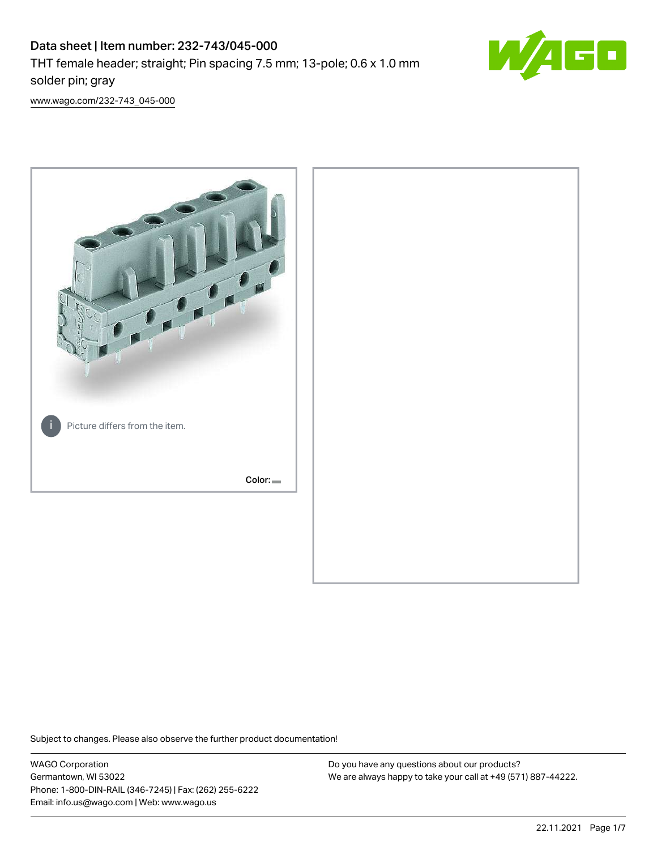

[www.wago.com/232-743\\_045-000](http://www.wago.com/232-743_045-000)



Subject to changes. Please also observe the further product documentation!

WAGO Corporation Germantown, WI 53022 Phone: 1-800-DIN-RAIL (346-7245) | Fax: (262) 255-6222 Email: info.us@wago.com | Web: www.wago.us

Do you have any questions about our products? We are always happy to take your call at +49 (571) 887-44222.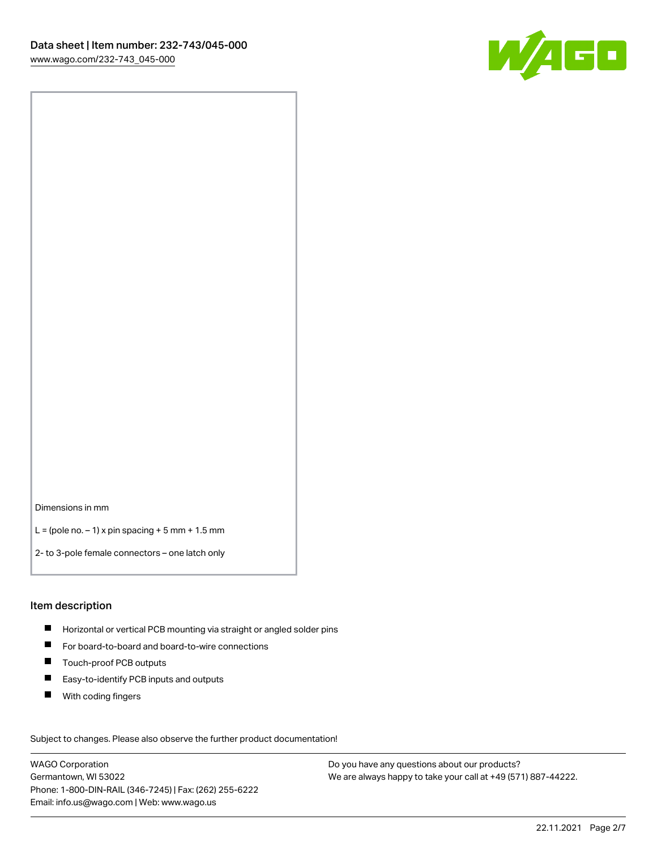

Dimensions in mm

 $L =$  (pole no.  $-1$ ) x pin spacing  $+5$  mm  $+ 1.5$  mm

2- to 3-pole female connectors – one latch only

#### Item description

- **H** Horizontal or vertical PCB mounting via straight or angled solder pins
- For board-to-board and board-to-wire connections
- Touch-proof PCB outputs  $\blacksquare$
- $\blacksquare$ Easy-to-identify PCB inputs and outputs
- $\blacksquare$ With coding fingers

Subject to changes. Please also observe the further product documentation! Data

WAGO Corporation Germantown, WI 53022 Phone: 1-800-DIN-RAIL (346-7245) | Fax: (262) 255-6222 Email: info.us@wago.com | Web: www.wago.us

Do you have any questions about our products? We are always happy to take your call at +49 (571) 887-44222.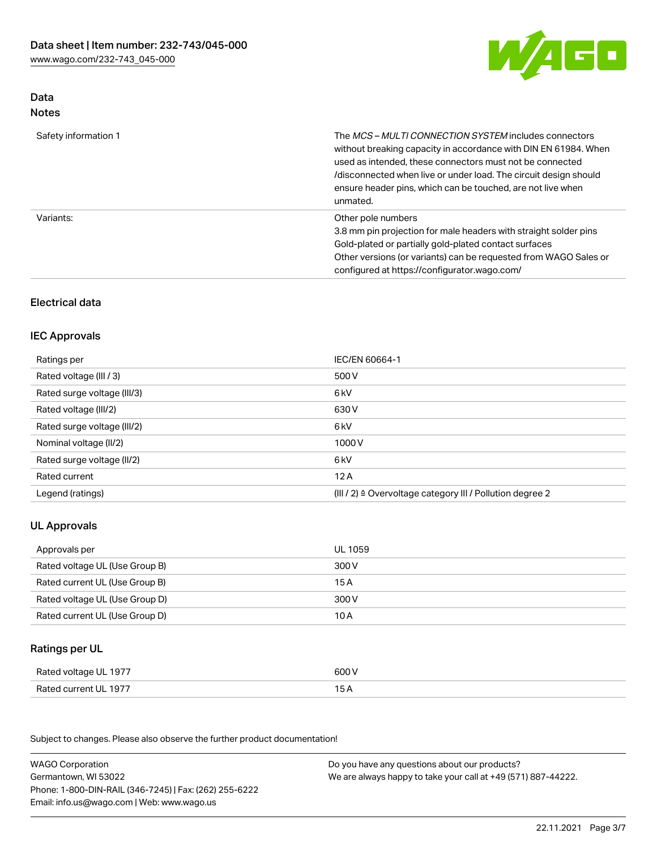

## Data Notes

| Safety information 1 | The MCS-MULTI CONNECTION SYSTEM includes connectors<br>without breaking capacity in accordance with DIN EN 61984. When<br>used as intended, these connectors must not be connected<br>/disconnected when live or under load. The circuit design should<br>ensure header pins, which can be touched, are not live when<br>unmated. |
|----------------------|-----------------------------------------------------------------------------------------------------------------------------------------------------------------------------------------------------------------------------------------------------------------------------------------------------------------------------------|
| Variants:            | Other pole numbers<br>3.8 mm pin projection for male headers with straight solder pins<br>Gold-plated or partially gold-plated contact surfaces<br>Other versions (or variants) can be requested from WAGO Sales or<br>configured at https://configurator.wago.com/                                                               |

## Electrical data

### IEC Approvals

| Ratings per                 | IEC/EN 60664-1                                                        |
|-----------------------------|-----------------------------------------------------------------------|
| Rated voltage (III / 3)     | 500 V                                                                 |
| Rated surge voltage (III/3) | 6 kV                                                                  |
| Rated voltage (III/2)       | 630 V                                                                 |
| Rated surge voltage (III/2) | 6 kV                                                                  |
| Nominal voltage (II/2)      | 1000 V                                                                |
| Rated surge voltage (II/2)  | 6 kV                                                                  |
| Rated current               | 12A                                                                   |
| Legend (ratings)            | $(III / 2)$ $\triangle$ Overvoltage category III / Pollution degree 2 |

## UL Approvals

| Approvals per                  | UL 1059 |
|--------------------------------|---------|
| Rated voltage UL (Use Group B) | 300 V   |
| Rated current UL (Use Group B) | 15 A    |
| Rated voltage UL (Use Group D) | 300 V   |
| Rated current UL (Use Group D) | 10 A    |

# Ratings per UL

| Rated voltage UL 1977 | 600 V |
|-----------------------|-------|
| Rated current UL 1977 |       |

Subject to changes. Please also observe the further product documentation!

| <b>WAGO Corporation</b>                                | Do you have any questions about our products?                 |
|--------------------------------------------------------|---------------------------------------------------------------|
| Germantown, WI 53022                                   | We are always happy to take your call at +49 (571) 887-44222. |
| Phone: 1-800-DIN-RAIL (346-7245)   Fax: (262) 255-6222 |                                                               |
| Email: info.us@wago.com   Web: www.wago.us             |                                                               |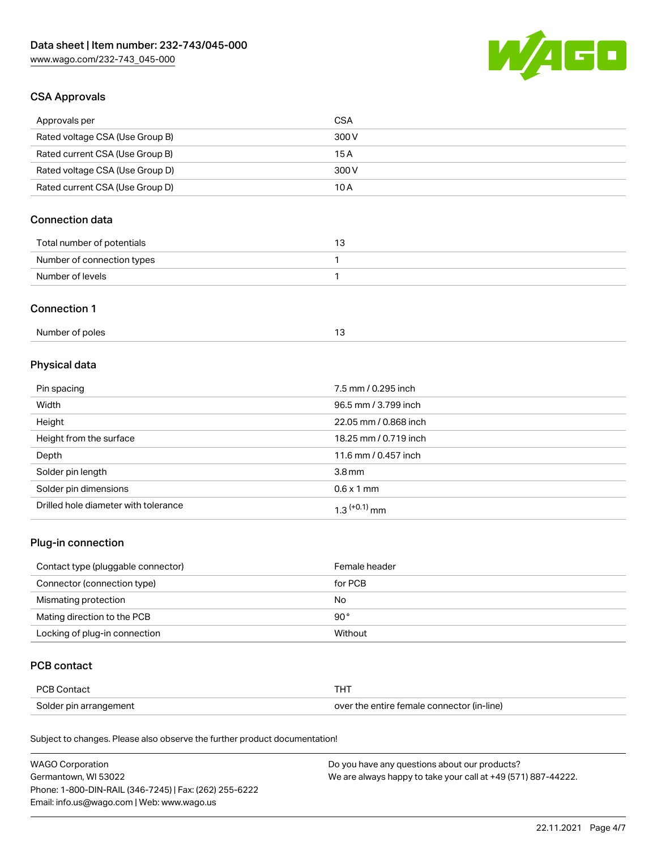

## CSA Approvals

| Approvals per                   | CSA   |
|---------------------------------|-------|
| Rated voltage CSA (Use Group B) | 300 V |
| Rated current CSA (Use Group B) | 15 A  |
| Rated voltage CSA (Use Group D) | 300 V |
| Rated current CSA (Use Group D) | 10 A  |

## Connection data

| Total number of potentials |  |
|----------------------------|--|
| Number of connection types |  |
| Number of levels           |  |

### Connection 1

| Number of poles |  |
|-----------------|--|
|                 |  |

# Physical data

| Pin spacing                          | 7.5 mm / 0.295 inch   |
|--------------------------------------|-----------------------|
| Width                                | 96.5 mm / 3.799 inch  |
| Height                               | 22.05 mm / 0.868 inch |
| Height from the surface              | 18.25 mm / 0.719 inch |
| Depth                                | 11.6 mm / 0.457 inch  |
| Solder pin length                    | 3.8 <sub>mm</sub>     |
| Solder pin dimensions                | $0.6 \times 1$ mm     |
| Drilled hole diameter with tolerance | $1.3$ $(+0.1)$ mm     |

## Plug-in connection

| Contact type (pluggable connector) | Female header |
|------------------------------------|---------------|
| Connector (connection type)        | for PCB       |
| Mismating protection               | No            |
| Mating direction to the PCB        | $90^{\circ}$  |
| Locking of plug-in connection      | Without       |

### PCB contact

| PCB Contact            | THT                                        |
|------------------------|--------------------------------------------|
| Solder pin arrangement | over the entire female connector (in-line) |

Subject to changes. Please also observe the further product documentation!

| <b>WAGO Corporation</b>                                | Do you have any questions about our products?                 |
|--------------------------------------------------------|---------------------------------------------------------------|
| Germantown, WI 53022                                   | We are always happy to take your call at +49 (571) 887-44222. |
| Phone: 1-800-DIN-RAIL (346-7245)   Fax: (262) 255-6222 |                                                               |
| Email: info.us@wago.com   Web: www.wago.us             |                                                               |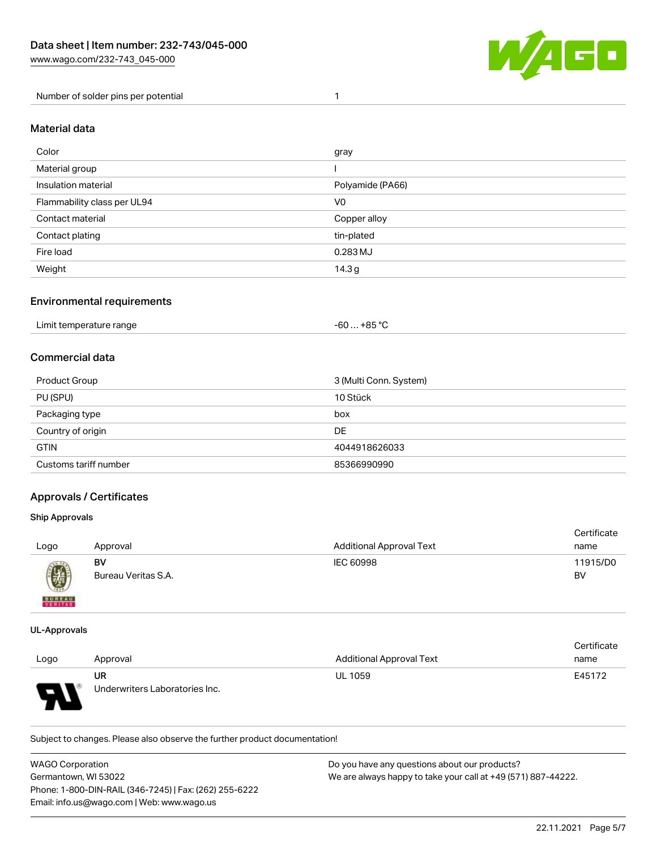

Number of solder pins per potential 1

### Material data

| Color                       | gray             |
|-----------------------------|------------------|
| Material group              |                  |
| Insulation material         | Polyamide (PA66) |
| Flammability class per UL94 | V <sub>0</sub>   |
| Contact material            | Copper alloy     |
| Contact plating             | tin-plated       |
| Fire load                   | 0.283 MJ         |
| Weight                      | 14.3g            |

### Environmental requirements

| Limit temperature range<br>$\blacksquare$ . The contract of the contract of the contract of the contract of the contract of the contract of the contract of the contract of the contract of the contract of the contract of the contract of the contract of the | $-60+85 °C$ |  |
|-----------------------------------------------------------------------------------------------------------------------------------------------------------------------------------------------------------------------------------------------------------------|-------------|--|
|-----------------------------------------------------------------------------------------------------------------------------------------------------------------------------------------------------------------------------------------------------------------|-------------|--|

## Commercial data

| Product Group         | 3 (Multi Conn. System) |
|-----------------------|------------------------|
| PU (SPU)              | 10 Stück               |
| Packaging type        | box                    |
| Country of origin     | DE                     |
| <b>GTIN</b>           | 4044918626033          |
| Customs tariff number | 85366990990            |

### Approvals / Certificates

#### Ship Approvals

| Logo                     | Approval                  | <b>Additional Approval Text</b> | Certificate<br>name |
|--------------------------|---------------------------|---------------------------------|---------------------|
| Ø                        | BV<br>Bureau Veritas S.A. | IEC 60998                       | 11915/D0<br>BV      |
| <b>BUREAU</b><br>VERITAS |                           |                                 |                     |

#### UL-Approvals

 $\mathbf{A}$ 

|      |                                |                                 | Certificate |
|------|--------------------------------|---------------------------------|-------------|
| Logo | Approval                       | <b>Additional Approval Text</b> | name        |
|      | UR                             | <b>UL 1059</b>                  | E45172      |
| o    | Underwriters Laboratories Inc. |                                 |             |

Subject to changes. Please also observe the further product documentation!

| <b>WAGO Corporation</b>                                | Do you have any questions about our products?                 |
|--------------------------------------------------------|---------------------------------------------------------------|
| Germantown. WI 53022                                   | We are always happy to take your call at +49 (571) 887-44222. |
| Phone: 1-800-DIN-RAIL (346-7245)   Fax: (262) 255-6222 |                                                               |
| Email: info.us@wago.com   Web: www.wago.us             |                                                               |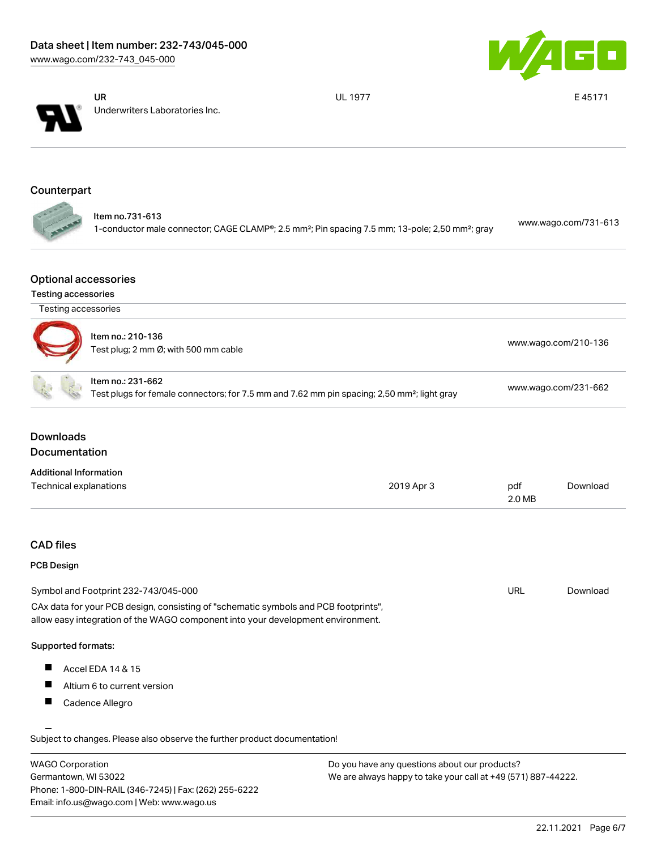



UR Underwriters Laboratories Inc. UL 1977 **E 45171** 

# Counterpart

|               | ltem no.731-613                                                                                                         | www.wago.com/731-613 |
|---------------|-------------------------------------------------------------------------------------------------------------------------|----------------------|
| $\mathcal{L}$ | 1-conductor male connector; CAGE CLAMP®; 2.5 mm <sup>2</sup> ; Pin spacing 7.5 mm; 13-pole; 2,50 mm <sup>2</sup> ; gray |                      |

### Optional accessories

#### Testing accessories

| Testing accessories                   |                                                                                                                                                                        |            |               |                      |
|---------------------------------------|------------------------------------------------------------------------------------------------------------------------------------------------------------------------|------------|---------------|----------------------|
|                                       | Item no.: 210-136<br>Test plug; 2 mm Ø; with 500 mm cable                                                                                                              |            |               | www.wago.com/210-136 |
|                                       | Item no.: 231-662<br>Test plugs for female connectors; for 7.5 mm and 7.62 mm pin spacing; 2,50 mm <sup>2</sup> ; light gray                                           |            |               | www.wago.com/231-662 |
| <b>Downloads</b><br>Documentation     |                                                                                                                                                                        |            |               |                      |
| <b>Additional Information</b>         |                                                                                                                                                                        |            |               |                      |
| Technical explanations                |                                                                                                                                                                        | 2019 Apr 3 | pdf<br>2.0 MB | Download             |
| <b>CAD files</b><br><b>PCB Design</b> |                                                                                                                                                                        |            |               |                      |
|                                       | Symbol and Footprint 232-743/045-000                                                                                                                                   |            | <b>URL</b>    | Download             |
|                                       | CAx data for your PCB design, consisting of "schematic symbols and PCB footprints",<br>allow easy integration of the WAGO component into your development environment. |            |               |                      |
| Supported formats:                    |                                                                                                                                                                        |            |               |                      |
|                                       | Accel EDA 14 & 15                                                                                                                                                      |            |               |                      |
|                                       |                                                                                                                                                                        |            |               |                      |
| H.                                    | Altium 6 to current version                                                                                                                                            |            |               |                      |

| <b>WAGO Corporation</b>                                | Do you have any questions about our products?                 |
|--------------------------------------------------------|---------------------------------------------------------------|
| Germantown, WI 53022                                   | We are always happy to take your call at +49 (571) 887-44222. |
| Phone: 1-800-DIN-RAIL (346-7245)   Fax: (262) 255-6222 |                                                               |
| Email: info.us@wago.com   Web: www.wago.us             |                                                               |